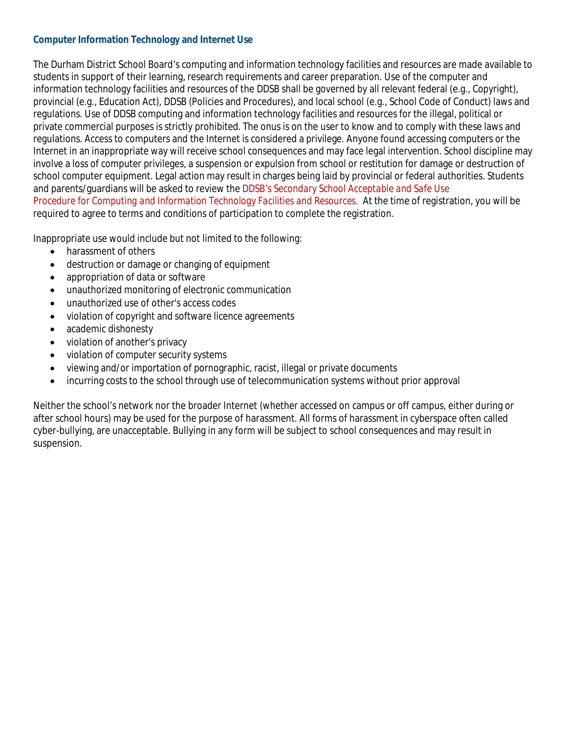#### **Computer Information Technology and Internet Use**

The Durham District School Board's computing and information technology facilities and resources are made available to students in support of their learning, research requirements and career preparation. Use of the computer and information technology facilities and resources of the DDSB shall be governed by all relevant federal (e.g., Copyright), provincial (e.g., Education Act), DDSB (Policies and Procedures), and local school (e.g., School Code of Conduct) laws and regulations. Use of DDSB computing and information technology facilities and resources for the illegal, political or private commercial purposes is strictly prohibited. The onus is on the user to know and to comply with these laws and regulations. Access to computers and the Internet is considered a privilege. Anyone found accessing computers or the Internet in an inappropriate way will receive school consequences and may face legal intervention. School discipline may involve a loss of computer privileges, a suspension or expulsion from school or restitution for damage or destruction of school computer equipment. Legal action may result in charges being laid by provincial or federal authorities. Students and parents/guardians will be asked to review the DDSB's *Secondary School Acceptable and Safe Use Procedure* for *Computing and Information Technology Facilities and Resources.* At the time of registration, you will be required to agree to terms and conditions of participation to complete the registration.

Inappropriate use would include but not limited to the following:

- harassment of others
- destruction or damage or changing of equipment
- appropriation of data or software
- unauthorized monitoring of electronic communication
- unauthorized use of other's access codes
- violation of copyright and software licence agreements
- academic dishonesty
- violation of another's privacy
- violation of computer security systems
- viewing and/or importation of pornographic, racist, illegal or private documents
- incurring costs to the school through use of telecommunication systems without prior approval

Neither the school's network nor the broader Internet (whether accessed on campus or off campus, either during or after school hours) may be used for the purpose of harassment. All forms of harassment in cyberspace often called cyber-bullying, are unacceptable. Bullying in any form will be subject to school consequences and may result in suspension.